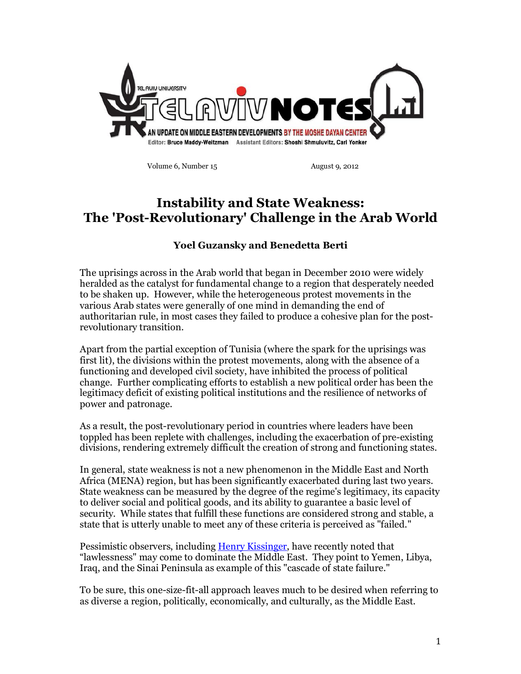

**Volume 6, Number 15 August 9, 2012** 

# **Instability and State Weakness: The 'Post-Revolutionary' Challenge in the Arab World**

## **Yoel Guzansky and Benedetta Berti**

The uprisings across in the Arab world that began in December 2010 were widely heralded as the catalyst for fundamental change to a region that desperately needed to be shaken up. However, while the heterogeneous protest movements in the various Arab states were generally of one mind in demanding the end of authoritarian rule, in most cases they failed to produce a cohesive plan for the postrevolutionary transition.

Apart from the partial exception of Tunisia (where the spark for the uprisings was first lit), the divisions within the protest movements, along with the absence of a functioning and developed civil society, have inhibited the process of political change. Further complicating efforts to establish a new political order has been the legitimacy deficit of existing political institutions and the resilience of networks of power and patronage.

As a result, the post-revolutionary period in countries where leaders have been toppled has been replete with challenges, including the exacerbation of pre-existing divisions, rendering extremely difficult the creation of strong and functioning states.

In general, state weakness is not a new phenomenon in the Middle East and North Africa (MENA) region, but has been significantly exacerbated during last two years. State weakness can be measured by the degree of the regime's legitimacy, its capacity to deliver social and political goods, and its ability to guarantee a basic level of security. While states that fulfill these functions are considered strong and stable, a state that is utterly unable to meet any of these criteria is perceived as "failed."

Pessimistic observers, including Henry Kissinger, have recently noted that "lawlessness" may come to dominate the Middle East. They point to Yemen, Libya, Iraq, and the Sinai Peninsula as example of this "cascade of state failure."

To be sure, this one-size-fit-all approach leaves much to be desired when referring to as diverse a region, politically, economically, and culturally, as the Middle East.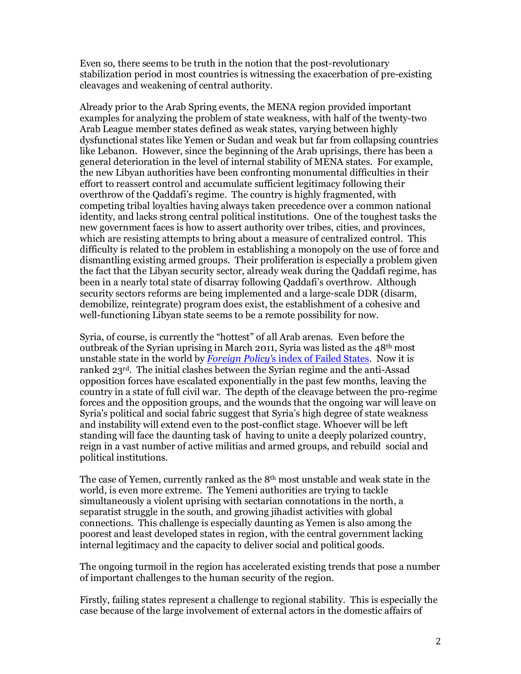Even so, there seems to be truth in the notion that the post-revolutionary stabilization period in most countries is witnessing the exacerbation of pre-existing cleavages and weakening of central authority.

Already prior to the Arab Spring events, the MENA region provided important examples for analyzing the problem of state weakness, with half of the twenty-two Arab League member states defined as weak states, varying between highly dysfunctional states like Yemen or Sudan and weak but far from collapsing countries like Lebanon. However, since the beginning of the Arab uprisings, there has been a general deterioration in the level of internal stability of MENA states. For example, the new Libyan authorities have been confronting monumental difficulties in their effort to reassert control and accumulate sufficient legitimacy following their overthrow of the Qaddafi's regime. The country is highly fragmented, with competing tribal loyalties having always taken precedence over a common national identity, and lacks strong central political institutions. One of the toughest tasks the new government faces is how to assert authority over tribes, cities, and provinces, which are resisting attempts to bring about a measure of centralized control. This difficulty is related to the problem in establishing a monopoly on the use of force and dismantling existing armed groups. Their proliferation is especially a problem given the fact that the Libyan security sector, already weak during the Qaddafi regime, has been in a nearly total state of disarray following Qaddafi's overthrow. Although security sectors reforms are being implemented and a large-scale DDR (disarm, demobilize, reintegrate) program does exist, the establishment of a cohesive and well-functioning Libyan state seems to be a remote possibility for now.

Syria, of course, is currently the "hottest" of all Arab arenas. Even before the outbreak of the Syrian uprising in March 2011, Syria was listed as the  $48<sup>th</sup>$  most unstable state in the world by *Foreign Policy'*s index of Failed States. Now it is ranked 23rd. The initial clashes between the Syrian regime and the anti-Assad opposition forces have escalated exponentially in the past few months, leaving the country in a state of full civil war. The depth of the cleavage between the pro-regime forces and the opposition groups, and the wounds that the ongoing war will leave on Syria's political and social fabric suggest that Syria's high degree of state weakness and instability will extend even to the post-conflict stage. Whoever will be left standing will face the daunting task of having to unite a deeply polarized country, reign in a vast number of active militias and armed groups, and rebuild social and political institutions.

The case of Yemen, currently ranked as the 8th most unstable and weak state in the world, is even more extreme. The Yemeni authorities are trying to tackle simultaneously a violent uprising with sectarian connotations in the north, a separatist struggle in the south, and growing jihadist activities with global connections. This challenge is especially daunting as Yemen is also among the poorest and least developed states in region, with the central government lacking internal legitimacy and the capacity to deliver social and political goods.

The ongoing turmoil in the region has accelerated existing trends that pose a number of important challenges to the human security of the region.

Firstly, failing states represent a challenge to regional stability. This is especially the case because of the large involvement of external actors in the domestic affairs of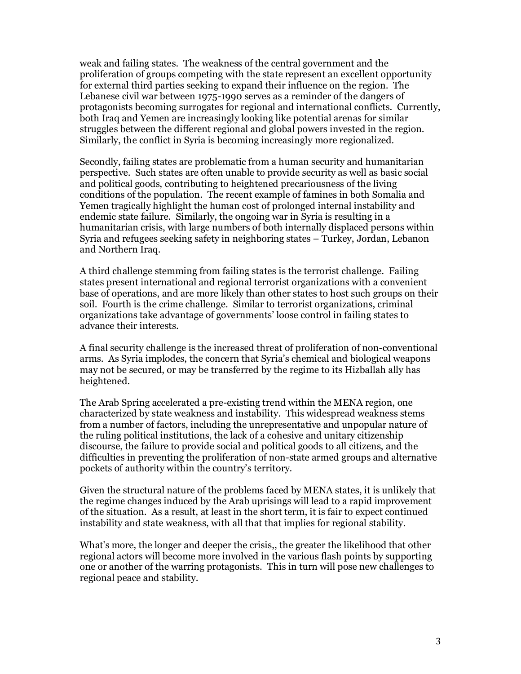weak and failing states. The weakness of the central government and the proliferation of groups competing with the state represent an excellent opportunity for external third parties seeking to expand their influence on the region. The Lebanese civil war between 1975-1990 serves as a reminder of the dangers of protagonists becoming surrogates for regional and international conflicts. Currently, both Iraq and Yemen are increasingly looking like potential arenas for similar struggles between the different regional and global powers invested in the region. Similarly, the conflict in Syria is becoming increasingly more regionalized.

Secondly, failing states are problematic from a human security and humanitarian perspective. Such states are often unable to provide security as well as basic social and political goods, contributing to heightened precariousness of the living conditions of the population. The recent example of famines in both Somalia and Yemen tragically highlight the human cost of prolonged internal instability and endemic state failure. Similarly, the ongoing war in Syria is resulting in a humanitarian crisis, with large numbers of both internally displaced persons within Syria and refugees seeking safety in neighboring states – Turkey, Jordan, Lebanon and Northern Iraq.

A third challenge stemming from failing states is the terrorist challenge. Failing states present international and regional terrorist organizations with a convenient base of operations, and are more likely than other states to host such groups on their soil. Fourth is the crime challenge. Similar to terrorist organizations, criminal organizations take advantage of governments' loose control in failing states to advance their interests.

A final security challenge is the increased threat of proliferation of non-conventional arms. As Syria implodes, the concern that Syria's chemical and biological weapons may not be secured, or may be transferred by the regime to its Hizballah ally has heightened.

The Arab Spring accelerated a pre-existing trend within the MENA region, one characterized by state weakness and instability. This widespread weakness stems from a number of factors, including the unrepresentative and unpopular nature of the ruling political institutions, the lack of a cohesive and unitary citizenship discourse, the failure to provide social and political goods to all citizens, and the difficulties in preventing the proliferation of non-state armed groups and alternative pockets of authority within the country's territory.

Given the structural nature of the problems faced by MENA states, it is unlikely that the regime changes induced by the Arab uprisings will lead to a rapid improvement of the situation. As a result, at least in the short term, it is fair to expect continued instability and state weakness, with all that that implies for regional stability.

What's more, the longer and deeper the crisis,, the greater the likelihood that other regional actors will become more involved in the various flash points by supporting one or another of the warring protagonists. This in turn will pose new challenges to regional peace and stability.